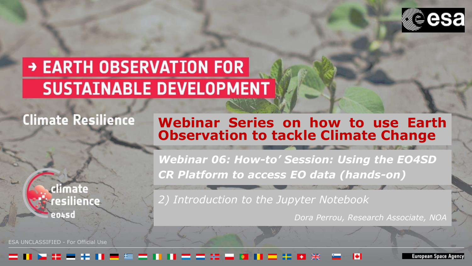

# → EARTH OBSERVATION FOR **SUSTAINABLE DEVELOPMENT**

# **Climate Resilience**

### **Webinar Series on how to use Earth Observation to tackle Climate Change**



ESA UNCLASSIFIED - For Official Use

*Webinar 06: How-to' Session: Using the EO4SD CR Platform to access EO data (hands-on)* 

*2) Introduction to the Jupyter Notebook* 

*Dora Perrou, Research Associate, NOA*

### - -

iuropean Space Agency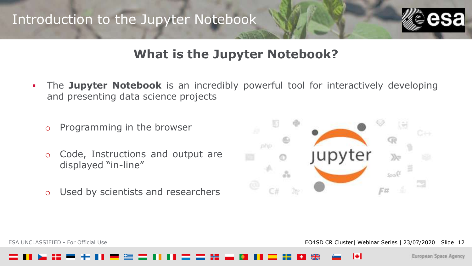

## **What is the Jupyter Notebook?**

**•** The Jupyter Notebook is an incredibly powerful tool for interactively developing and presenting data science projects

o Programming in the browser

- o Code, Instructions and output are displayed "in-line"
- o Used by scientists and researchers



ESA UNCLASSIFIED - For Official Use **EQ4SD CR Cluster| Webinar Series | 23/07/2020 | Slide 12**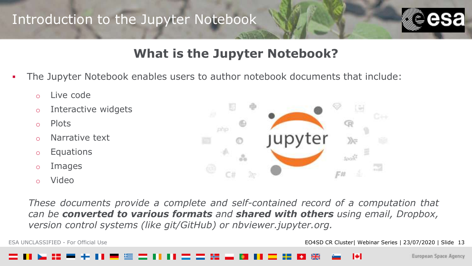

## **What is the Jupyter Notebook?**

- The Jupyter Notebook enables users to author notebook documents that include:
	- o Live code
	- o Interactive widgets
	- o Plots
	- o Narrative text
	- o Equations
	- o Images
	- o Video



*These documents provide a complete and self-contained record of a computation that can be converted to various formats and shared with others using email, Dropbox, version control systems (like git/GitHub) or nbviewer.jupyter.org.*

ESA UNCLASSIFIED - For Official Use **EXA UNCLASSIFIED - For Official Use** 13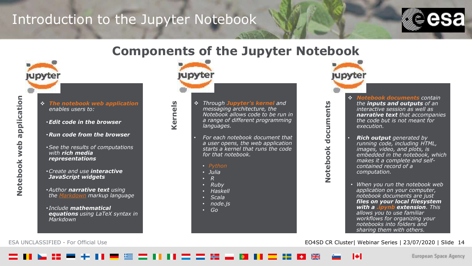

### **Components of the Jupyter Notebook**



- application **Notebook web application** Notebook web
- ❖ *The notebook web application enables users to:*
	- •*Edit code in the browser*
	- •*Run code from the browser*
	- •*See the results of computations with rich media representations*
	- •*Create and use interactive JavaScript widgets*
	- •*Author narrative text using the [Markdown](https://daringfireball.net/projects/markdown/) markup language*
	- *Include mathematical equations using LaTeX syntax in Markdown*



**Kernels**

❖ *Through Jupyter's kernel and messaging architecture, the Notebook allows code to be run in a range of different programming languages.* 

• *For each notebook document that a user opens, the web application starts a kernel that runs the code for that notebook.* 

- 
- *Julia*
- *R*
- *Ruby*
- *Haskell*
- *Scala*
- *node.js*
- *Go*



**Notebook documents**

Notebook

documents

- ❖ *Notebook documents contain the inputs and outputs of an interactive session as well as narrative text that accompanies the code but is not meant for execution.*
- *Rich output generated by running code, including HTML, images, video, and plots, is embedded in the notebook, which makes it a complete and selfcontained record of a computation.*
- *When you run the notebook web application on your computer, notebook documents are just files on your local filesystem with a .ipynb extension. This allows you to use familiar workflows for organizing your notebooks into folders and sharing them with others.*

ESA UNCLASSIFIED - For Official Use EO4SD CR Cluster| Webinar Series | 23/07/2020 | Slide 14

ы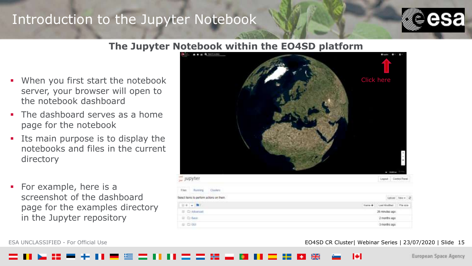

### **The Jupyter Notebook within the EO4SD platform**

- When you first start the notebook server, your browser will open to the notebook dashboard
- The dashboard serves as a home page for the notebook
- **•** Its main purpose is to display the notebooks and files in the current directory
- For example, here is a screenshot of the dashboard page for the examples directory in the Jupyter repository



### ESA UNCLASSIFIED - For Official Use **EXA UNCLASSIFIED - For Official Use** 15

3 months ago

European Space Agency

 $\Box\cdot\Box\cdot\Box\Box$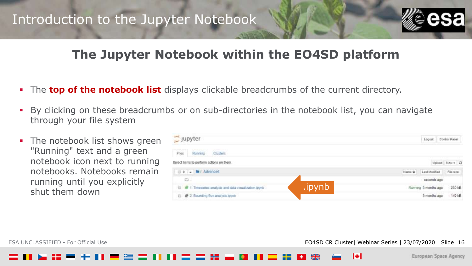

## **The Jupyter Notebook within the EO4SD platform**

- The **top of the notebook list** displays clickable breadcrumbs of the current directory.
- By clicking on these breadcrumbs or on sub-directories in the notebook list, you can navigate through your file system
- The notebook list shows green "Running" text and a green notebook icon next to running notebooks. Notebooks remain running until you explicitly shut them down

| Jupyter                                                                               | Logout                  | Control Panel  |
|---------------------------------------------------------------------------------------|-------------------------|----------------|
| Files<br>Running<br><b>Clusters</b>                                                   |                         |                |
| Select items to perform actions on them.                                              |                         | Upload New - C |
| 0 - b Advanced                                                                        | Name +<br>Last Modified | File size      |
| Ð.                                                                                    | seconds apo             |                |
| .ipynb<br><sup>11</sup> <b>A</b> 1. Timeselles analysis and data visualization (pyrib | Running 3 months ago    | 230 kB         |
| <b>B</b> 2. Bounding Box analysis loynb<br>曰.                                         | 3 months ago            | 149 kB         |

ESA UNCLASSIFIED - For Official Use **EDASE CRITER 16** CONSUMING THE EO4SD CR Cluster| Webinar Series | 23/07/2020 | Slide 16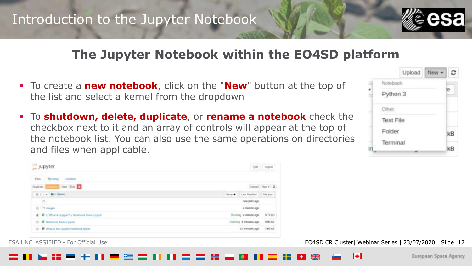

### **The Jupyter Notebook within the EO4SD platform**

- To create a **new notebook**, click on the "**New**" button at the top of the list and select a kernel from the dropdown
- To **shutdown, delete, duplicate**, or **rename a notebook** check the checkbox next to it and an array of controls will appear at the top of the notebook list. You can also use the same operations on directories and files when applicable.

|           | Upload | New: |    |
|-----------|--------|------|----|
| Notebook: |        |      |    |
| Python 3  |        |      |    |
| Other:    |        |      |    |
| Text File |        |      |    |
| Folder    |        |      | kB |
| Terminal  |        |      | kB |



### ESA UNCLASSIFIED - For Official Use **EXA UNCLASSIFIED - For Official Use** 17

м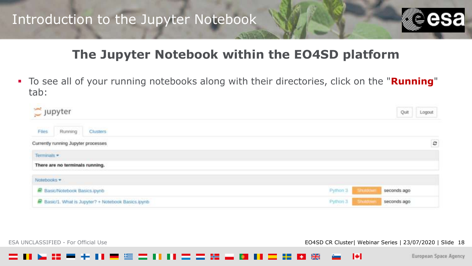

## **The Jupyter Notebook within the EO4SD platform**

▪ To see all of your running notebooks along with their directories, click on the "**Running**" tab:

| $\supseteq$ Jupyter |                                      |                                                     |  |          |                | Quit        | Logout  |
|---------------------|--------------------------------------|-----------------------------------------------------|--|----------|----------------|-------------|---------|
| Files               | Running                              | Clusters                                            |  |          |                |             |         |
|                     | Currently running Jupyter processes  |                                                     |  |          |                |             | $\circ$ |
| Terminals *         |                                      |                                                     |  |          |                |             |         |
|                     | There are no terminals running.      |                                                     |  |          |                |             |         |
| Notebooks *         |                                      |                                                     |  |          |                |             |         |
|                     | <b>B</b> Basic/Notebook Basics.ipynb |                                                     |  | Python 3 | <b>Shumown</b> | seconds ago |         |
|                     |                                      | Basic/1. What is Jupyter? + Notebook Basics ipynti- |  | Python 3 | Studiover      | seconds ago |         |

ESA UNCLASSIFIED - For Official Use **EXA UNCLASSIFIED - For Official Use EXA UNCLASSIFIED - For Official Use** 18

ы